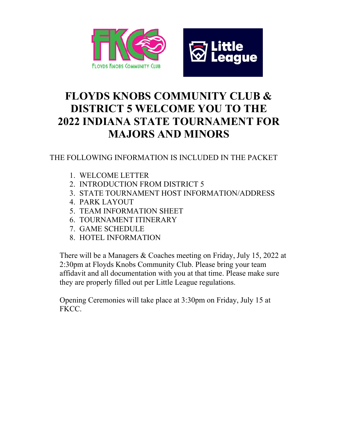



## FLOYDS KNOBS COMMUNITY CLUB & DISTRICT 5 WELCOME YOU TO THE 2022 INDIANA STATE TOURNAMENT FOR MAJORS AND MINORS

#### THE FOLLOWING INFORMATION IS INCLUDED IN THE PACKET

- 1. WELCOME LETTER
- 2. INTRODUCTION FROM DISTRICT 5
- 3. STATE TOURNAMENT HOST INFORMATION/ADDRESS
- 4. PARK LAYOUT
- 5. TEAM INFORMATION SHEET
- 6. TOURNAMENT ITINERARY
- 7. GAME SCHEDULE
- 8. HOTEL INFORMATION

There will be a Managers & Coaches meeting on Friday, July 15, 2022 at 2:30pm at Floyds Knobs Community Club. Please bring your team affidavit and all documentation with you at that time. Please make sure they are properly filled out per Little League regulations.

Opening Ceremonies will take place at 3:30pm on Friday, July 15 at FKCC.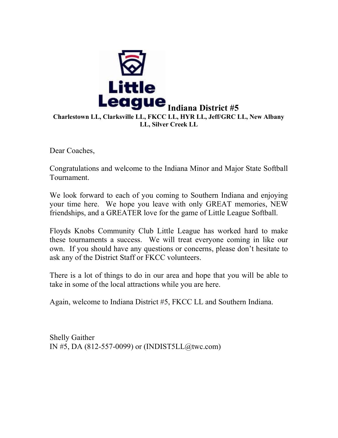

Dear Coaches,

Congratulations and welcome to the Indiana Minor and Major State Softball Tournament.

We look forward to each of you coming to Southern Indiana and enjoying your time here. We hope you leave with only GREAT memories, NEW friendships, and a GREATER love for the game of Little League Softball.

Floyds Knobs Community Club Little League has worked hard to make these tournaments a success. We will treat everyone coming in like our own. If you should have any questions or concerns, please don't hesitate to ask any of the District Staff or FKCC volunteers.

There is a lot of things to do in our area and hope that you will be able to take in some of the local attractions while you are here.

Again, welcome to Indiana District #5, FKCC LL and Southern Indiana.

Shelly Gaither IN #5, DA (812-557-0099) or (INDIST5LL@twc.com)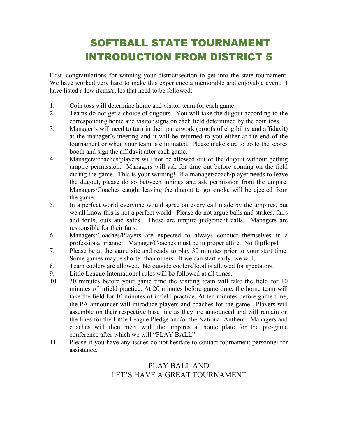## SOFTBALL STATE TOURNAMENT INTRODUCTION FROM DISTRICT 5

First, congratulations for winning your district/section to get into the state tournament. We have worked very hard to make this experience a memorable and enjoyable event. I have listed a few items/rules that need to be followed:

- 1. Coin toss will determine home and visitor team for each game.
- 2. Teams do not get a choice of dugouts. You will take the dugout according to the corresponding home and visitor signs on each field determined by the coin toss.
- 3. Manager's will need to turn in their paperwork (proofs of eligibility and affidavit) at the manager's meeting and it will be returned to you either at the end of the tournament or when your team is eliminated. Please make sure to go to the scores booth and sign the affidavit after each game.
- 4. Managers/coaches/players will not be allowed out of the dugout without getting umpire permission. Managers will ask for time out before coming on the field during the game. This is your warning! If a manager/coach/player needs to leave the dugout, please do so between innings and ask permission from the umpire. Managers/Coaches caught leaving the dugout to go smoke will be ejected from the game.
- 5. In a perfect world everyone would agree on every call made by the umpires, but we all know this is not a perfect world. Please do not argue balls and strikes, fairs and fouls, outs and safes. These are umpire judgement calls. Managers are responsible for their fans.
- 6. Managers/Coaches/Players are expected to always conduct themselves in a professional manner. Manager/Coaches must be in proper attire. No flipflops!
- 7. Please be at the game site and ready to play 30 minutes prior to your start time. Some games maybe shorter than others. If we can start early, we will.
- 8. Team coolers are allowed. No outside coolers/food is allowed for spectators.
- 9. Little League International rules will be followed at all times.
- 10. 30 minutes before your game time the visiting team will take the field for 10 minutes of infield practice. At 20 minutes before game time, the home team will take the field for 10 minutes of infield practice. At ten minutes before game time, the PA announcer will introduce players and coaches for the game. Players will assemble on their respective base line as they are announced and will remain on the lines for the Little League Pledge and/or the National Anthem. Managers and coaches will then meet with the umpires at home plate for the pre-game conference after which we will "PLAY BALL".
- 11. Please if you have any issues do not hesitate to contact tournament personnel for assistance.

#### PLAY BALL AND LET'S HAVE A GREAT TOURNAMENT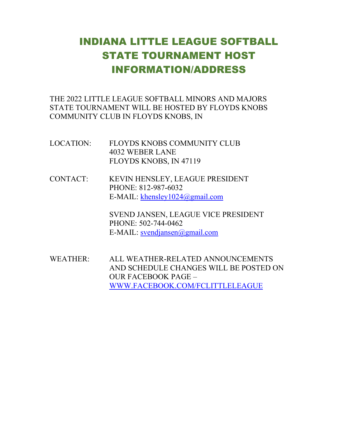## INDIANA LITTLE LEAGUE SOFTBALL STATE TOURNAMENT HOST INFORMATION/ADDRESS

THE 2022 LITTLE LEAGUE SOFTBALL MINORS AND MAJORS STATE TOURNAMENT WILL BE HOSTED BY FLOYDS KNOBS COMMUNITY CLUB IN FLOYDS KNOBS, IN

- LOCATION: FLOYDS KNOBS COMMUNITY CLUB 4032 WEBER LANE FLOYDS KNOBS, IN 47119
- CONTACT: KEVIN HENSLEY, LEAGUE PRESIDENT PHONE: 812-987-6032 E-MAIL: khensley1024@gmail.com

SVEND JANSEN, LEAGUE VICE PRESIDENT PHONE: 502-744-0462 E-MAIL: svendjansen@gmail.com

WEATHER: ALL WEATHER-RELATED ANNOUNCEMENTS AND SCHEDULE CHANGES WILL BE POSTED ON OUR FACEBOOK PAGE – WWW.FACEBOOK.COM/FCLITTLELEAGUE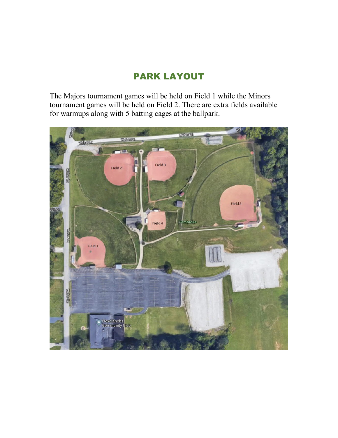### PARK LAYOUT

The Majors tournament games will be held on Field 1 while the Minors tournament games will be held on Field 2. There are extra fields available for warmups along with 5 batting cages at the ballpark.

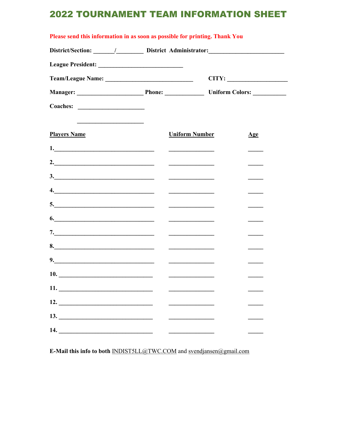### **2022 TOURNAMENT TEAM INFORMATION SHEET**

| Please send this information in as soon as possible for printing. Thank You |  |                       |                |  |
|-----------------------------------------------------------------------------|--|-----------------------|----------------|--|
|                                                                             |  |                       |                |  |
|                                                                             |  |                       |                |  |
|                                                                             |  |                       | CITY:          |  |
|                                                                             |  |                       |                |  |
|                                                                             |  |                       |                |  |
|                                                                             |  |                       |                |  |
| <b>Players Name</b>                                                         |  | <b>Uniform Number</b> | $\mathbf{Age}$ |  |
|                                                                             |  |                       |                |  |
| 2. $\overline{\phantom{a}}$                                                 |  |                       |                |  |
|                                                                             |  |                       |                |  |
|                                                                             |  |                       |                |  |
|                                                                             |  |                       |                |  |
| 6.                                                                          |  |                       |                |  |
|                                                                             |  |                       |                |  |
| 8.                                                                          |  |                       |                |  |
| 9.                                                                          |  |                       |                |  |
|                                                                             |  |                       |                |  |
|                                                                             |  |                       |                |  |
| 12.                                                                         |  |                       |                |  |
| 13.                                                                         |  |                       |                |  |
|                                                                             |  |                       |                |  |

E-Mail this info to both INDIST5LL@TWC.COM and svendjansen@gmail.com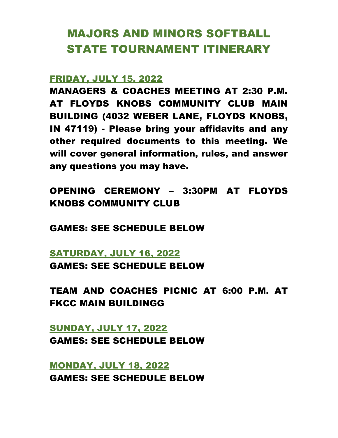# MAJORS AND MINORS SOFTBALL STATE TOURNAMENT ITINERARY

#### FRIDAY, JULY 15, 2022

MANAGERS & COACHES MEETING AT 2:30 P.M. AT FLOYDS KNOBS COMMUNITY CLUB MAIN BUILDING (4032 WEBER LANE, FLOYDS KNOBS, IN 47119) - Please bring your affidavits and any other required documents to this meeting. We will cover general information, rules, and answer any questions you may have.

## OPENING CEREMONY – 3:30PM AT FLOYDS KNOBS COMMUNITY CLUB

GAMES: SEE SCHEDULE BELOW

### SATURDAY, JULY 16, 2022

GAMES: SEE SCHEDULE BELOW

TEAM AND COACHES PICNIC AT 6:00 P.M. AT FKCC MAIN BUILDINGG

### SUNDAY, JULY 17, 2022 GAMES: SEE SCHEDULE BELOW

MONDAY, JULY 18, 2022 GAMES: SEE SCHEDULE BELOW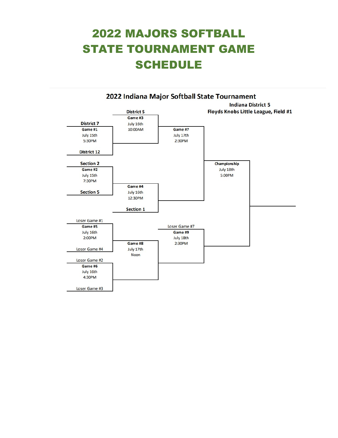# 2022 MAJORS SOFTBALL STATE TOURNAMENT GAME **SCHEDULE**

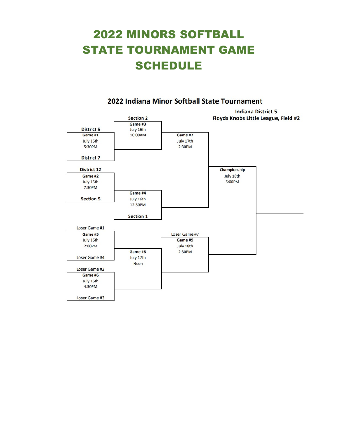# 2022 MINORS SOFTBALL STATE TOURNAMENT GAME **SCHEDULE**



#### 2022 Indiana Minor Softball State Tournament